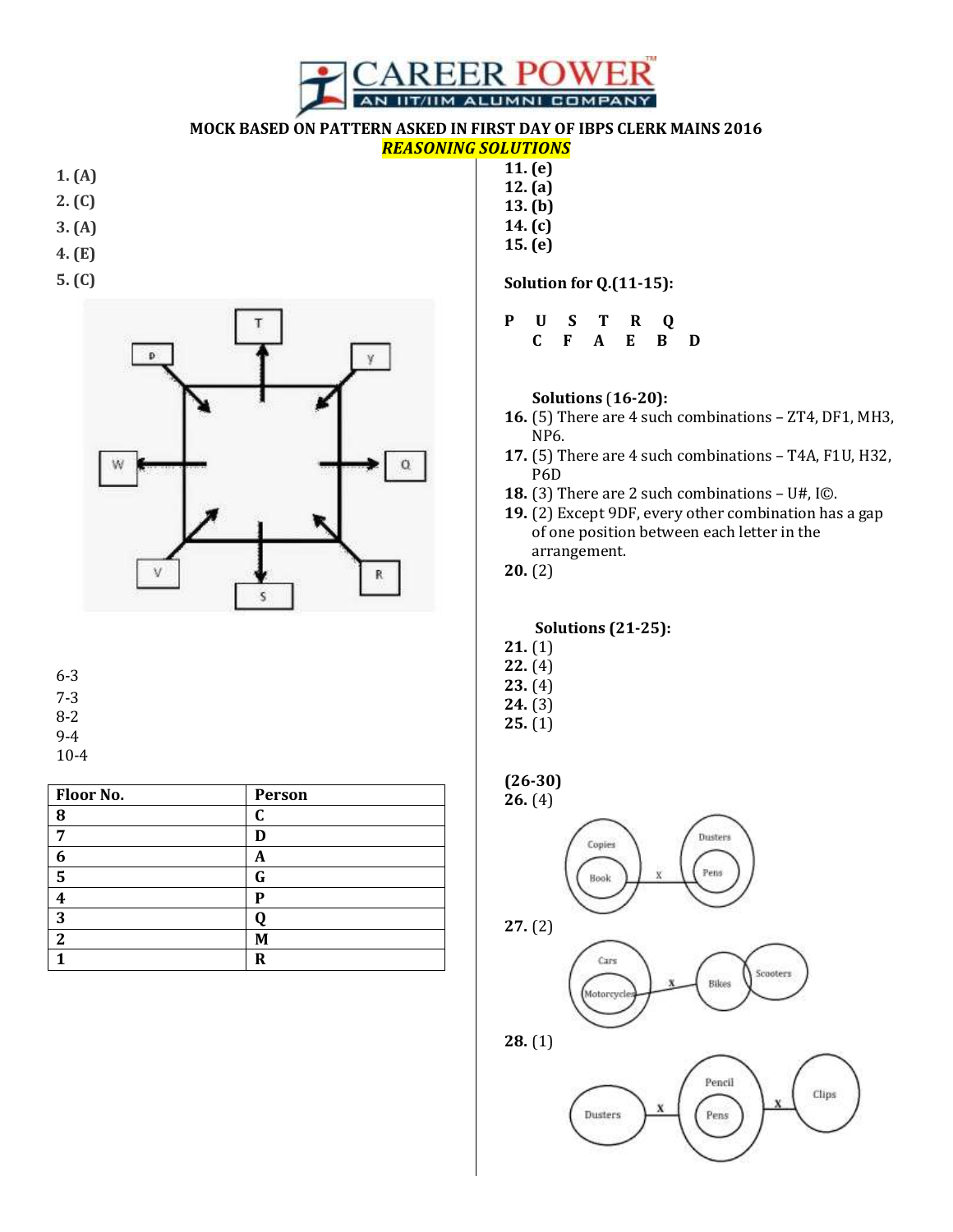

**MOCK BASED ON PATTERN ASKED IN FIRST DAY OF IBPS CLERK MAINS 2016**

## *REASONING SOLUTIONS*

- **1. (A)**
- **2. (C)**
- **3. (A)**
- **4. (E)**
- 
- **5. (C)**



- 6-3
- 7-3
- 8-2
- 9-4
- 10-4

| Floor No. | Person |
|-----------|--------|
| 8         | C      |
|           | D      |
| 6         | A      |
| 5         | G      |
|           | P      |
| 3         |        |
| ി         | M      |
|           | R      |

- **11. (e) 12. (a) 13. (b) 14. (c)**
- **15. (e)**

**Solution for Q.(11-15):**

**P U S T R Q C F A E B D**

**Solutions** (**16-20):**

- **16.** (5) There are 4 such combinations ZT4, DF1, MH3, NP6.
- **17.** (5) There are 4 such combinations T4A, F1U, H32, P6D
- **18.** (3) There are 2 such combinations U#, I©.
- **19.** (2) Except 9DF, every other combination has a gap of one position between each letter in the arrangement.
- **20.** (2)

**Solutions (21-25):**

- **21.** (1)
- **22.** (4)
- **23.** (4) **24.** (3)
- 
- **25.** (1)

**(26-30)**